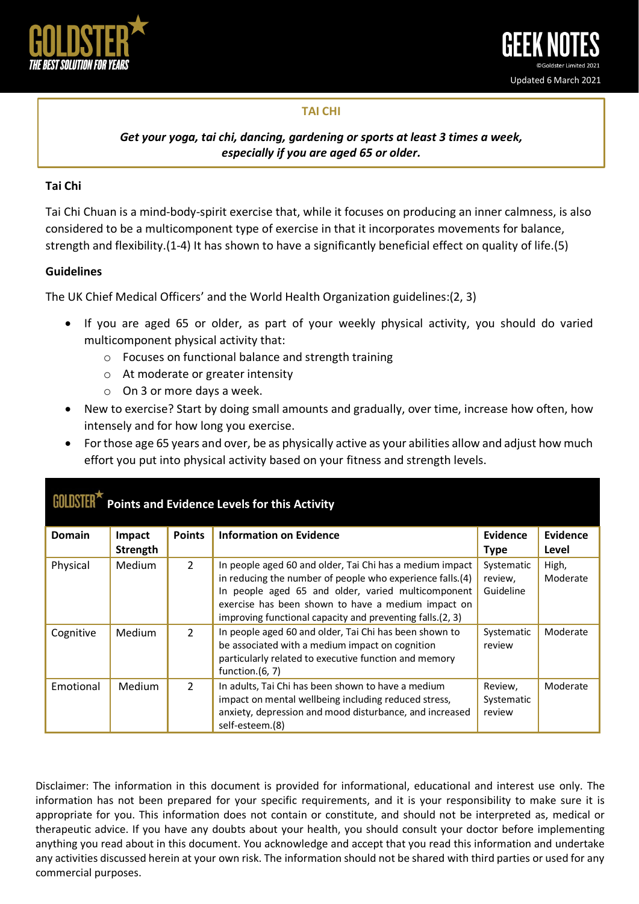

## **TAI CHI**

*Get your yoga, tai chi, dancing, gardening or sports at least 3 times a week, especially if you are aged 65 or older.*

## **Tai Chi**

Tai Chi Chuan is a mind-body-spirit exercise that, while it focuses on producing an inner calmness, is also considered to be a multicomponent type of exercise in that it incorporates movements for balance, strength and flexibility.(1-4) It has shown to have a significantly beneficial effect on quality of life.(5)

## **Guidelines**

The UK Chief Medical Officers' and the World Health Organization guidelines:(2, 3)

- If you are aged 65 or older, as part of your weekly physical activity, you should do varied multicomponent physical activity that:
	- o Focuses on functional balance and strength training
	- o At moderate or greater intensity
	- o On 3 or more days a week.
- New to exercise? Start by doing small amounts and gradually, over time, increase how often, how intensely and for how long you exercise.
- For those age 65 years and over, be as physically active as your abilities allow and adjust how much effort you put into physical activity based on your fitness and strength levels.

| Points and Evidence Levels for this Activity |               |                |                                                                                                                                                                                                                                                                                                |                                    |                   |
|----------------------------------------------|---------------|----------------|------------------------------------------------------------------------------------------------------------------------------------------------------------------------------------------------------------------------------------------------------------------------------------------------|------------------------------------|-------------------|
| <b>Domain</b>                                | <b>Impact</b> | <b>Points</b>  | <b>Information on Evidence</b>                                                                                                                                                                                                                                                                 | <b>Evidence</b>                    | <b>Evidence</b>   |
|                                              | Strength      |                |                                                                                                                                                                                                                                                                                                | <b>Type</b>                        | Level             |
| Physical                                     | <b>Medium</b> | $\overline{2}$ | In people aged 60 and older, Tai Chi has a medium impact<br>in reducing the number of people who experience falls.(4)<br>In people aged 65 and older, varied multicomponent<br>exercise has been shown to have a medium impact on<br>improving functional capacity and preventing falls.(2, 3) | Systematic<br>review,<br>Guideline | High,<br>Moderate |
| Cognitive                                    | Medium        | $\overline{2}$ | In people aged 60 and older, Tai Chi has been shown to<br>be associated with a medium impact on cognition<br>particularly related to executive function and memory<br>function. $(6, 7)$                                                                                                       | Systematic<br>review               | Moderate          |
| Emotional                                    | <b>Medium</b> | $\mathcal{L}$  | In adults, Tai Chi has been shown to have a medium<br>impact on mental wellbeing including reduced stress,<br>anxiety, depression and mood disturbance, and increased<br>self-esteem.(8)                                                                                                       | Review,<br>Systematic<br>review    | Moderate          |

Disclaimer: The information in this document is provided for informational, educational and interest use only. The information has not been prepared for your specific requirements, and it is your responsibility to make sure it is appropriate for you. This information does not contain or constitute, and should not be interpreted as, medical or therapeutic advice. If you have any doubts about your health, you should consult your doctor before implementing anything you read about in this document. You acknowledge and accept that you read this information and undertake any activities discussed herein at your own risk. The information should not be shared with third parties or used for any commercial purposes.